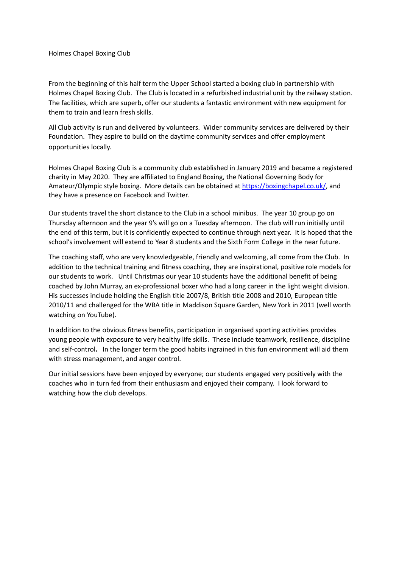From the beginning of this half term the Upper School started a boxing club in partnership with Holmes Chapel Boxing Club. The Club is located in a refurbished industrial unit by the railway station. The facilities, which are superb, offer our students a fantastic environment with new equipment for them to train and learn fresh skills.

All Club activity is run and delivered by volunteers. Wider community services are delivered by their Foundation. They aspire to build on the daytime community services and offer employment opportunities locally.

Holmes Chapel Boxing Club is a community club established in January 2019 and became a registered charity in May 2020. They are affiliated to [England](http://www.englandboxing.org/) Boxing, the National Governing Body for Amateur/Olympic style boxing. More details can be obtained at <https://boxingchapel.co.uk/>, and they have a presence on Facebook and Twitter.

Our students travel the short distance to the Club in a school minibus. The year 10 group go on Thursday afternoon and the year 9's will go on a Tuesday afternoon. The club will run initially until the end of this term, but it is confidently expected to continue through next year. It is hoped that the school's involvement will extend to Year 8 students and the Sixth Form College in the near future.

The coaching staff, who are very knowledgeable, friendly and welcoming, all come from the Club. In addition to the technical training and fitness coaching, they are inspirational, positive role models for our students to work. Until Christmas our year 10 students have the additional benefit of being coached by John Murray, an ex-professional boxer who had a long career in the light weight division. His successes include holding the English title 2007/8, British title 2008 and 2010, European title 2010/11 and challenged for the WBA title in Maddison Square Garden, New York in 2011 (well worth watching on YouTube).

In addition to the obvious fitness benefits, participation in organised sporting activities provides young people with exposure to very healthy life skills. These include teamwork, resilience, discipline and self-control**.** In the longer term the good habits ingrained in this fun environment will aid them with stress management, and anger control.

Our initial sessions have been enjoyed by everyone; our students engaged very positively with the coaches who in turn fed from their enthusiasm and enjoyed their company. I look forward to watching how the club develops.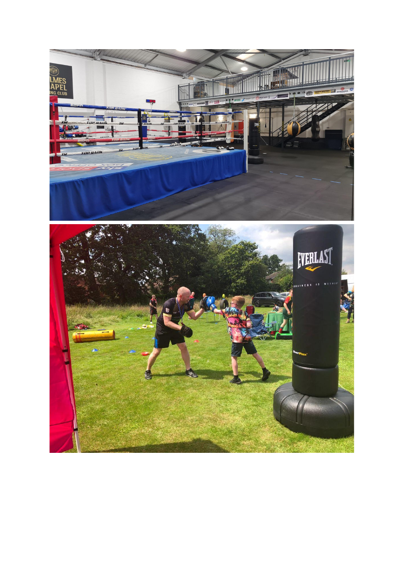